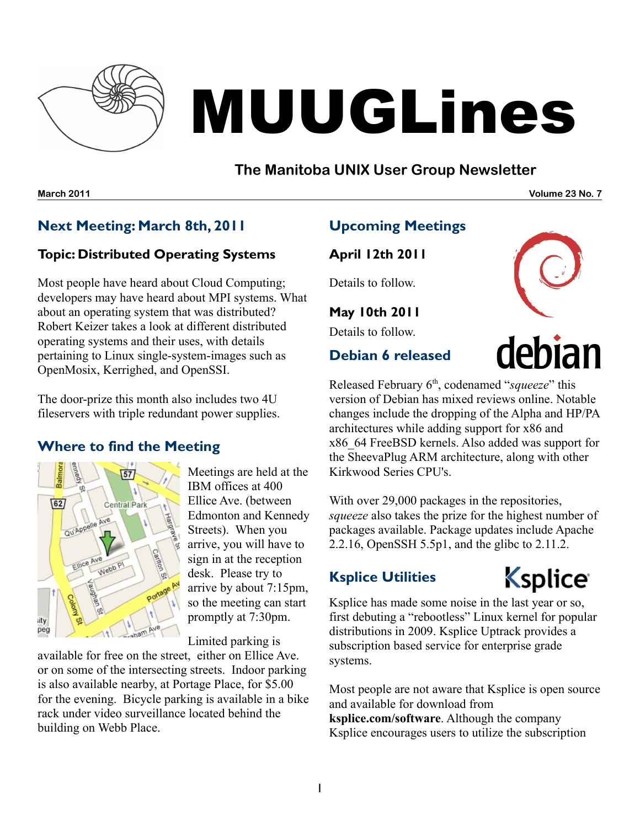

# MUUGLines

# **The Manitoba UNIX User Group Newsletter**

**March 2011 Volume 23 No. 7**

# **Next Meeting: March 8th, 2011**

#### **Topic: Distributed Operating Systems**

Most people have heard about Cloud Computing; developers may have heard about MPI systems. What about an operating system that was distributed? Robert Keizer takes a look at different distributed operating systems and their uses, with details pertaining to Linux single-system-images such as OpenMosix, Kerrighed, and OpenSSI.

The door-prize this month also includes two 4U fileservers with triple redundant power supplies.

## **Where to find the Meeting**



Meetings are held at the IBM offices at 400 Ellice Ave. (between Edmonton and Kennedy Streets). When you arrive, you will have to sign in at the reception desk. Please try to arrive by about 7:15pm, so the meeting can start promptly at 7:30pm.

Limited parking is

available for free on the street, either on Ellice Ave. or on some of the intersecting streets. Indoor parking is also available nearby, at Portage Place, for \$5.00 for the evening. Bicycle parking is available in a bike rack under video surveillance located behind the building on Webb Place.

# **Upcoming Meetings**

**April 12th 2011**

Details to follow.

**May 10th 2011**

Details to follow.

# **Debian 6 released**



Released February 6<sup>th</sup>, codenamed "*squeeze*" this version of Debian has mixed reviews online. Notable changes include the dropping of the Alpha and HP/PA architectures while adding support for x86 and x86\_64 FreeBSD kernels. Also added was support for the SheevaPlug ARM architecture, along with other Kirkwood Series CPU's.

With over 29,000 packages in the repositories, *squeeze* also takes the prize for the highest number of packages available. Package updates include Apache 2.2.16, OpenSSH 5.5p1, and the glibc to 2.11.2.

# **Ksplice Utilities**



Ksplice has made some noise in the last year or so, first debuting a "rebootless" Linux kernel for popular distributions in 2009. Ksplice Uptrack provides a subscription based service for enterprise grade systems.

Most people are not aware that Ksplice is open source and available for download from **[ksplice.com/software](http://ksplice.com/software)**. Although the company Ksplice encourages users to utilize the subscription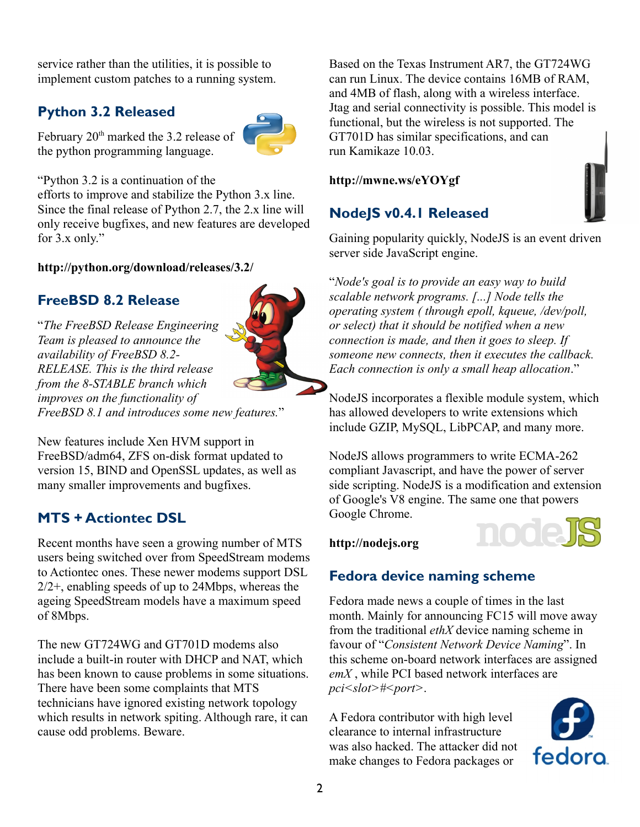service rather than the utilities, it is possible to implement custom patches to a running system.

### **Python 3.2 Released**

February 20<sup>th</sup> marked the 3.2 release of the python programming language.



efforts to improve and stabilize the Python 3.x line. Since the final release of Python 2.7, the 2.x line will only receive bugfixes, and new features are developed for 3.x only."

#### **<http://python.org/download/releases/3.2/>**

## **FreeBSD 8.2 Release**

"*The FreeBSD Release Engineering Team is pleased to announce the availability of FreeBSD 8.2- RELEASE. This is the third release from the 8-STABLE branch which improves on the functionality of FreeBSD 8.1 and introduces some new features.*"



### **MTS + Actiontec DSL**

Recent months have seen a growing number of MTS users being switched over from SpeedStream modems to Actiontec ones. These newer modems support DSL 2/2+, enabling speeds of up to 24Mbps, whereas the ageing SpeedStream models have a maximum speed of 8Mbps.

The new GT724WG and GT701D modems also include a built-in router with DHCP and NAT, which has been known to cause problems in some situations. There have been some complaints that MTS technicians have ignored existing network topology which results in network spiting. Although rare, it can cause odd problems. Beware.

Based on the Texas Instrument AR7, the GT724WG can run Linux. The device contains 16MB of RAM, and 4MB of flash, along with a wireless interface. Jtag and serial connectivity is possible. This model is functional, but the wireless is not supported. The GT701D has similar specifications, and can run Kamikaze 10.03.

#### **<http://mwne.ws/eYOYgf>**

### **NodeJS v0.4.1 Released**

Gaining popularity quickly, NodeJS is an event driven server side JavaScript engine.

"*Node's goal is to provide an easy way to build scalable network programs. [...] Node tells the operating system ( through epoll, kqueue, /dev/poll, or select) that it should be notified when a new connection is made, and then it goes to sleep. If someone new connects, then it executes the callback. Each connection is only a small heap allocation*."

NodeJS incorporates a flexible module system, which has allowed developers to write extensions which include GZIP, MySQL, LibPCAP, and many more.

NodeJS allows programmers to write ECMA-262 compliant Javascript, and have the power of server side scripting. NodeJS is a modification and extension of Google's V8 engine. The same one that powers Google Chrome.

#### **[http://nodejs.org](http://nodejs.org/)**



Fedora made news a couple of times in the last month. Mainly for announcing FC15 will move away from the traditional *ethX* device naming scheme in favour of "*Consistent Network Device Naming*". In this scheme on-board network interfaces are assigned *emX* , while PCI based network interfaces are *pci<slot>#<port>*.

A Fedora contributor with high level clearance to internal infrastructure was also hacked. The attacker did not make changes to Fedora packages or



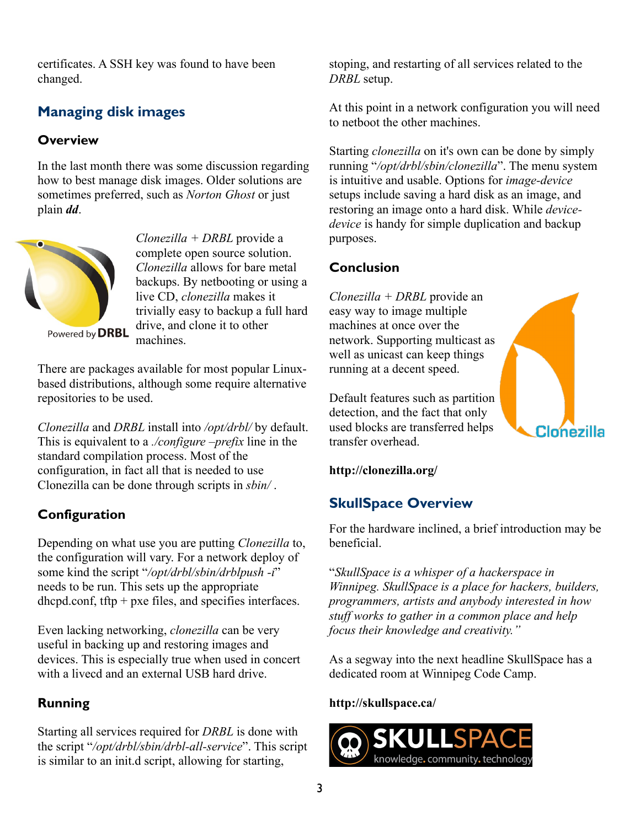certificates. A SSH key was found to have been changed.

# **Managing disk images**

#### **Overview**

In the last month there was some discussion regarding how to best manage disk images. Older solutions are sometimes preferred, such as *Norton Ghost* or just plain *dd*.



*Clonezilla + DRBL* provide a complete open source solution. *Clonezilla* allows for bare metal backups. By netbooting or using a live CD, *clonezilla* makes it trivially easy to backup a full hard drive, and clone it to other machines.

Powered by **DRBL** 

There are packages available for most popular Linuxbased distributions, although some require alternative repositories to be used.

*Clonezilla* and *DRBL* install into */opt/drbl/* by default. This is equivalent to a *./configure* –*prefix* line in the standard compilation process. Most of the configuration, in fact all that is needed to use Clonezilla can be done through scripts in *sbin/* .

# **Configuration**

Depending on what use you are putting *Clonezilla* to, the configuration will vary. For a network deploy of some kind the script "*/opt/drbl/sbin/drblpush -i*" needs to be run. This sets up the appropriate dhcpd.conf,  $tftp + pxe$  files, and specifies interfaces.

Even lacking networking, *clonezilla* can be very useful in backing up and restoring images and devices. This is especially true when used in concert with a livecd and an external USB hard drive.

### **Running**

Starting all services required for *DRBL* is done with the script "*/opt/drbl/sbin/drbl-all-service*". This script is similar to an init.d script, allowing for starting,

stoping, and restarting of all services related to the *DRBL* setup.

At this point in a network configuration you will need to netboot the other machines.

Starting *clonezilla* on it's own can be done by simply running "*/opt/drbl/sbin/clonezilla*". The menu system is intuitive and usable. Options for *image-device* setups include saving a hard disk as an image, and restoring an image onto a hard disk. While *devicedevice* is handy for simple duplication and backup purposes.

## **Conclusion**

*Clonezilla + DRBL* provide an easy way to image multiple machines at once over the network. Supporting multicast as well as unicast can keep things running at a decent speed.

Default features such as partition detection, and the fact that only used blocks are transferred helps transfer overhead.

**<http://clonezilla.org/>**

# **SkullSpace Overview**

For the hardware inclined, a brief introduction may be beneficial.

Clonezilla

"*SkullSpace is a whisper of a hackerspace in Winnipeg. SkullSpace is a place for hackers, builders, programmers, artists and anybody interested in how stuff works to gather in a common place and help focus their knowledge and creativity."*

As a segway into the next headline SkullSpace has a dedicated room at Winnipeg Code Camp.

#### **<http://skullspace.ca/>**